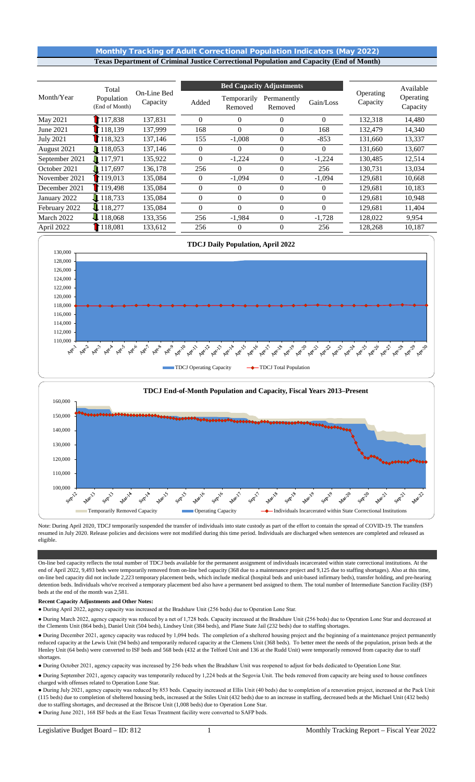# Monthly Tracking of Adult Correctional Population Indicators (May 2022) **Texas Department of Criminal Justice Correctional Population and Capacity (End of Month)**

|                  | Total                        |                         |                | <b>Bed Capacity Adjustments</b> | Operating              | Available      |          |                       |
|------------------|------------------------------|-------------------------|----------------|---------------------------------|------------------------|----------------|----------|-----------------------|
| Month/Year       | Population<br>(End of Month) | On-Line Bed<br>Capacity | Added          | Temporarily<br>Removed          | Permanently<br>Removed | Gain/Loss      | Capacity | Operating<br>Capacity |
| May 2021         | 117,838                      | 137,831                 | $\theta$       | $\Omega$                        | $\Omega$               | $\overline{0}$ | 132,318  | 14,480                |
| June 2021        | 118,139                      | 137.999                 | 168            | $\Omega$                        | $\Omega$               | 168            | 132,479  | 14,340                |
| <b>July 2021</b> | 118,323                      | 137,146                 | 155            | $-1,008$                        | $\theta$               | $-853$         | 131.660  | 13,337                |
| August 2021      | $\blacksquare$ 118,053       | 137,146                 | $\theta$       | 0                               | $\Omega$               | $\Omega$       | 131,660  | 13,607                |
| September 2021   | 117,971                      | 135,922                 | $\overline{0}$ | $-1,224$                        | $\theta$               | $-1,224$       | 130,485  | 12,514                |
| October 2021     | $\Pi$ 117,697                | 136,178                 | 256            | $\Omega$                        | $\Omega$               | 256            | 130.731  | 13,034                |
| November 2021    | 119,013                      | 135,084                 | 0              | $-1,094$                        | $\Omega$               | $-1,094$       | 129,681  | 10,668                |
| December 2021    | $\Gamma$ 119.498             | 135,084                 | $\theta$       | $\Omega$                        | $\Omega$               | $\Omega$       | 129,681  | 10,183                |
| January 2022     | 118.733                      | 135,084                 | $\overline{0}$ | $\Omega$                        | $\Omega$               | $\Omega$       | 129,681  | 10,948                |
| February 2022    | 118,277                      | 135,084                 | $\Omega$       | $\Omega$                        | $\Omega$               | $\theta$       | 129,681  | 11,404                |
| March 2022       | 118,068                      | 133,356                 | 256            | $-1,984$                        | $\Omega$               | $-1,728$       | 128,022  | 9,954                 |
| April 2022       | 118,081                      | 133,612                 | 256            |                                 | $\Omega$               | 256            | 128,268  | 10,187                |



Note: During April 2020, TDCJ temporarily suspended the transfer of individuals into state custody as part of the effort to contain the spread of COVID-19. The transfers resumed in July 2020. Release policies and decisions were not modified during this time period. Individuals are discharged when sentences are completed and released as eligible.

On-line bed capacity reflects the total number of TDCJ beds available for the permanent assignment of individuals incarcerated within state correctional institutions. At the end of April 2022, 9,493 beds were temporarily removed from on-line bed capacity (368 due to a maintenance project and 9,125 due to staffing shortages). Also at this time, on-line bed capacity did not include 2,223 temporary placement beds, which include medical (hospital beds and unit-based infirmary beds), transfer holding, and pre-hearing detention beds. Individuals who've received a temporary placement bed also have a permanent bed assigned to them. The total number of Intermediate Sanction Facility (ISF) beds at the end of the month was 2,581.

**Recent Capacity Adjustments and Other Notes:** 

● During April 2022, agency capacity was increased at the Bradshaw Unit (256 beds) due to Operation Lone Star.

● During March 2022, agency capacity was reduced by a net of 1,728 beds. Capacity increased at the Bradshaw Unit (256 beds) due to Operation Lone Star and decreased at the Clements Unit (864 beds), Daniel Unit (504 beds), Lindsey Unit (384 beds), and Plane State Jail (232 beds) due to staffing shortages.

● During December 2021, agency capacity was reduced by 1,094 beds. The completion of a sheltered housing project and the beginning of a maintenance project permanently reduced capacity at the Lewis Unit (94 beds) and temporarily reduced capacity at the Clemens Unit (368 beds). To better meet the needs of the population, prison beds at the Henley Unit (64 beds) were converted to ISF beds and 568 beds (432 at the Telford Unit and 136 at the Rudd Unit) were temporarily removed from capacity due to staff shortages.

● During October 2021, agency capacity was increased by 256 beds when the Bradshaw Unit was reopened to adjust for beds dedicated to Operation Lone Star.

● During September 2021, agency capacity was temporarily reduced by 1,224 beds at the Segovia Unit. The beds removed from capacity are being used to house confinees charged with offenses related to Operation Lone Star.

● During July 2021, agency capacity was reduced by 853 beds. Capacity increased at Ellis Unit (40 beds) due to completion of a renovation project, increased at the Pack Unit (115 beds) due to completion of sheltered housing beds, increased at the Stiles Unit (432 beds) due to an increase in staffing, decreased beds at the Michael Unit (432 beds) due to staffing shortages, and decreased at the Briscoe Unit (1,008 beds) due to Operation Lone Star.

● During June 2021, 168 ISF beds at the East Texas Treatment facility were converted to SAFP beds.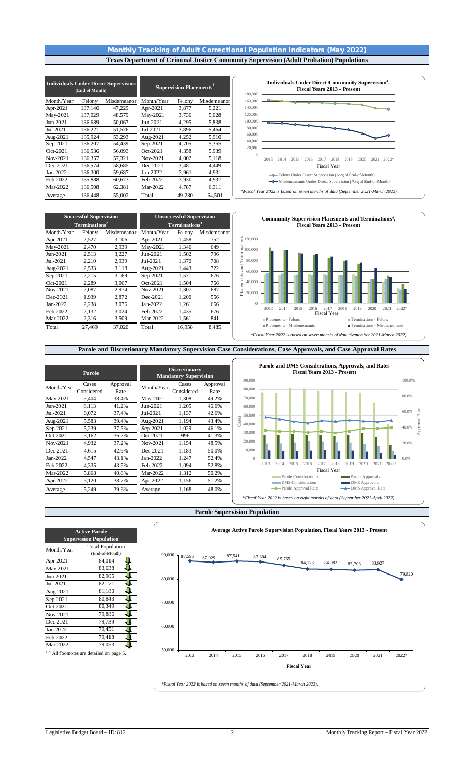# Monthly Tracking of Adult Correctional Population Indicators (May 2022) **Texas Department of Criminal Justice Community Supervision (Adult Probation) Populations**

|            | (End of Month) | <b>Individuals Under Direct Supervision</b> | <b>Supervision Placements</b> <sup>1</sup> |        |             |  |  |
|------------|----------------|---------------------------------------------|--------------------------------------------|--------|-------------|--|--|
| Month/Year | Felony         | Misdemeanor                                 | Month/Year                                 | Felony | Misdemeanor |  |  |
| Apr-2021   | 137,146        | 47,229                                      | Apr-2021                                   | 3,877  | 5,221       |  |  |
| May-2021   | 137,029        | 48,579                                      | May-2021                                   | 3,736  | 5,028       |  |  |
| Jun-2021   | 136,689        | 50,067                                      | Jun-2021                                   | 4,295  | 5,838       |  |  |
| Jul-2021   | 136,221        | 51,576                                      | Jul-2021                                   | 3,896  | 5,464       |  |  |
| Aug-2021   | 135,924        | 53,293                                      | Aug-2021                                   | 4,252  | 5,910       |  |  |
| Sep-2021   | 136,207        | 54.439                                      | Sep-2021                                   | 4,705  | 5,355       |  |  |
| Oct-2021   | 136,536        | 56,093                                      | Oct-2021                                   | 4,358  | 5,939       |  |  |
| Nov-2021   | 136,357        | 57,321                                      | Nov-2021                                   | 4,002  | 5,118       |  |  |
| Dec-2021   | 136,574        | 58.685                                      | Dec-2021                                   | 3,481  | 4.449       |  |  |
| Jan-2022   | 136,300        | 59,687                                      | Jan-2022                                   | 3,961  | 4,931       |  |  |
| Feb-2022   | 135,888        | 60,673                                      | Feb-2022                                   | 3,930  | 4,937       |  |  |
| Mar-2022   | 136,508        | 62,381                                      | Mar-2022                                   | 4,787  | 6,311       |  |  |
| Average    | 136.448        | 55,002                                      | Total                                      | 49,280 | 64.501      |  |  |



Month/Year Felony Misdemeanor Month/Year Felony Misdemeanor Apr-2021 1,458 752 Apr-2021 2,527 3,106 Apr-2021 1,458 752<br>May-2021 2,470 2,939 May-2021 1,346 649 May-2021  $\frac{J_{\text{un}}-2021}{J_{\text{ul}}-2021}$  2,513 3,227  $\frac{J_{\text{un}}-2021}{J_{\text{ul}}-2021}$  1,502 796 Jul-2021 2,210 2,939 Jul-2021 1,370 708  $\frac{2,533}{2,215}$   $\frac{3,118}{3,169}$   $\frac{\text{Aug-2021}}{\text{Sep-2021}}$  $\frac{ \text{Sep-}2021 \qquad 2,215 \qquad 3,169}{ \text{Oct-}2021 \qquad 2,289 \qquad 3,067} \quad \frac{\text{Sep-}2021 \qquad 1,571 \qquad 676}{ \text{Oct-}2021 \qquad 1,504}$ Oct-2021 2,289 3,067 Oct-2021 1,504 756 Nov-2021 2,087 2,974 Nov-2021 1,307 687 Dec-2021 1,939 2,872 Dec-2021 1,200 556<br>
Jan-2022 2,238 3,076 Jan-2022 1,261 666<br>
Feb-2022 2,132 3,024 Feb-2022 1,435 676 Jan-2022 Feb-2022 2,132 3,024 Feb-2022 1,435 676 Mar-2022 2,316 3,509 Mar-2022 1,561 841 Total 27,469 37,020 Total 16,958 8,485 **Successful Supervision Terminations2 Unsuccessful Supervision Terminations3**



# **Parole and Discretionary Mandatory Supervision Case Considerations, Case Approvals, and Case Approval Rates**

|            | Parole              |                  | <b>Discretionary</b><br><b>Mandatory Supervision</b> |                     |                  | 90,000          | Parole and DMS Considerations, Approvals, and Rates<br><b>Fiscal Years 2013 - Present</b> |      |                                                    |      |      |                    |      |                                                                                 |      |       |  |
|------------|---------------------|------------------|------------------------------------------------------|---------------------|------------------|-----------------|-------------------------------------------------------------------------------------------|------|----------------------------------------------------|------|------|--------------------|------|---------------------------------------------------------------------------------|------|-------|--|
| Month/Year | Cases<br>Considered | Approval<br>Rate | Month/Year                                           | Cases<br>Considered | Approval<br>Rate | 80,000          |                                                                                           |      |                                                    |      |      |                    |      |                                                                                 |      |       |  |
| May-2021   | 5,404               | 38.4%            | May-2021                                             | 1,308               | 49.2%            | 70,000          |                                                                                           |      |                                                    |      |      |                    |      |                                                                                 |      |       |  |
| Jun-2021   | 6,113               | 41.2%            | Jun-2021                                             | 1,205               | 46.6%            | 60,000          |                                                                                           |      |                                                    |      |      |                    |      |                                                                                 |      |       |  |
| Jul-2021   | 6,072               | 37.4%            | Jul-2021                                             | 1,137               | 42.6%            | 50,000          |                                                                                           |      |                                                    |      |      |                    |      |                                                                                 |      |       |  |
| Aug-2021   | 5,583               | 39.4%            | Aug-2021                                             | 1,194               | 43.4%            | Cases<br>40,000 |                                                                                           |      |                                                    |      |      |                    |      |                                                                                 |      |       |  |
| Sep-2021   | 5,239               | 37.5%            | $Sep-2021$                                           | 1,029               | 46.1%            |                 |                                                                                           |      |                                                    |      |      |                    |      |                                                                                 |      |       |  |
| Oct-2021   | 5,162               | 36.2%            | Oct-2021                                             | 996                 | 41.3%            | 30,000          |                                                                                           |      |                                                    |      |      |                    |      |                                                                                 |      |       |  |
| Nov-2021   | 4,932               | 37.2%            | Nov-2021                                             | 1,154               | 48.5%            | 20,000          |                                                                                           |      |                                                    |      |      |                    |      |                                                                                 |      |       |  |
| Dec-2021   | 4,615               | 42.9%            | Dec-2021                                             | 1,183               | 50.0%            | 10,000          |                                                                                           |      |                                                    |      |      |                    |      |                                                                                 |      |       |  |
| Jan-2022   | 4,547               | 43.1%            | Jan-2022                                             | 1,247               | 52.4%            |                 |                                                                                           |      |                                                    |      |      |                    |      |                                                                                 |      |       |  |
| Feb-2022   | 4,335               | 43.5%            | Feb-2022                                             | 1,094               | 52.8%            |                 | 2013                                                                                      | 2014 | 2015                                               | 2016 | 2017 | 2018               | 2019 | 2020                                                                            | 2021 | 2022* |  |
| Mar-2022   | 5,868               | 40.6%            | Mar-2022                                             | 1,312               | 50.2%            |                 |                                                                                           |      |                                                    |      |      | <b>Fiscal Year</b> |      |                                                                                 |      |       |  |
| Apr-2022   | 5,120               | 38.7%            | Apr-2022                                             | 1,156               | 51.2%            |                 |                                                                                           |      | Parole Considerations<br><b>DMS</b> Considerations |      |      |                    |      | <b>Parole Approvals</b><br><b>DMS</b> Approvals                                 |      |       |  |
| Average    | 5,249               | 39.6%            | Average                                              | 1,168               | 48.0%            |                 |                                                                                           |      | -Parole Approval Rate                              |      |      |                    |      | -DMS Approval Rate                                                              |      |       |  |
|            |                     |                  |                                                      |                     |                  |                 |                                                                                           |      |                                                    |      |      |                    |      | *Fiscal Year 2022 is based on eight months of data (September 2021-April 2022). |      |       |  |

#### **Parole Supervision Population**



| <b>Active Parole</b><br><b>Supervision Population</b> |                                           |  |  |  |  |  |  |  |  |
|-------------------------------------------------------|-------------------------------------------|--|--|--|--|--|--|--|--|
| Month/Year                                            | <b>Total Population</b><br>(End-of-Month) |  |  |  |  |  |  |  |  |
| Apr-2021                                              | 84,014                                    |  |  |  |  |  |  |  |  |
| May-2021                                              | 83,638                                    |  |  |  |  |  |  |  |  |
| Jun-2021                                              | 82,905                                    |  |  |  |  |  |  |  |  |
| Jul-2021                                              | 82,171                                    |  |  |  |  |  |  |  |  |
| Aug-2021                                              | 81.180                                    |  |  |  |  |  |  |  |  |
| Sep-2021                                              | 80.843                                    |  |  |  |  |  |  |  |  |
| Oct-2021                                              | 80.349                                    |  |  |  |  |  |  |  |  |
| Nov-2021                                              | 79,886                                    |  |  |  |  |  |  |  |  |
| Dec-2021                                              | 79.739                                    |  |  |  |  |  |  |  |  |
| Jan-2022                                              | 79,451                                    |  |  |  |  |  |  |  |  |
| Feb-2022                                              | 79,418                                    |  |  |  |  |  |  |  |  |
| Mar-2022                                              | 79,053                                    |  |  |  |  |  |  |  |  |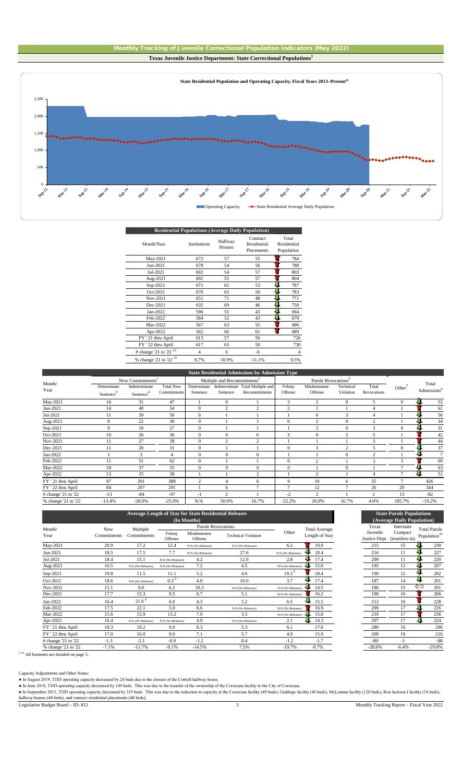



| <b>Residential Populations (Average Daily Population)</b> |          |       |
|-----------------------------------------------------------|----------|-------|
|                                                           | Contract | Total |

| Month/Year                          | Institutions   | Halfway<br>Houses | Contract<br>Residential<br>Placements | Total<br>Residential<br>Population |
|-------------------------------------|----------------|-------------------|---------------------------------------|------------------------------------|
| May-2021                            | 672            | 57                | 55                                    | 784                                |
| Jun-2021                            | 678            | 54                | 56                                    | 788                                |
| Jul-2021                            | 692            | 54                | 57                                    | 803                                |
| Aug-2021                            | 692            | 55                | 57                                    | 804                                |
| Sep-2021                            | 671            | 62                | 53                                    | 787                                |
| Oct-2021                            | 670            | 63                | 50                                    | 783                                |
| Nov-2021                            | 651            | 71                | 48                                    | 771                                |
| Dec-2021                            | 635            | 69                | 46                                    | 750                                |
| Jan-2022                            | 596            | 55                | 43                                    | 694                                |
| Feb-2022                            | 584            | 52                | 43                                    | 679                                |
| Mar-2022                            | 567            | 63                | 55                                    | 686                                |
| Apr-2022                            | 562            | 66                | 61                                    | 689                                |
| FY '21 thru April                   | 613            | 57                | 56                                    | 726                                |
| FY ' 22 thru April                  | 617            | 63                | 50                                    | 730                                |
| # change '21 to '22 <sup>10</sup>   | $\overline{4}$ | 6                 | $-6$                                  | $\overline{4}$                     |
| $%$ change '21 to '22 <sup>10</sup> | 0.7%           | 10.9%             | $-11.1%$                              | 0.5%                               |
|                                     |                |                   |                                       |                                    |

|                     |                       |                              |                  |                |                                         | <b>State Residential Admissions by Admission Type</b> |              |                                 |                |                |                    |                         |
|---------------------|-----------------------|------------------------------|------------------|----------------|-----------------------------------------|-------------------------------------------------------|--------------|---------------------------------|----------------|----------------|--------------------|-------------------------|
|                     |                       | New Commitments <sup>2</sup> |                  |                | Multiple and Recommitments <sup>5</sup> |                                                       |              | Parole Revocations <sup>6</sup> |                |                |                    |                         |
| Month/              | Determinate           | Indeterminate                | <b>Total New</b> | Determinate    |                                         | Indeterminate Total Multiple and                      | Felony       | Misdemeanor                     | Technical      | Total          | Other <sup>'</sup> | Total                   |
| Year                | Sentence <sup>®</sup> | Sentence                     | Commitments      | Sentence       | Sentence                                | Recommitments                                         | Offense      | Offense                         | Violation      | Revocations    |                    | Admissions <sup>'</sup> |
| May-2021            | 16                    | 31                           | 47               |                | $\Omega$                                |                                                       | 3            | $\overline{2}$                  | $\Omega$       | 5              | $\Omega$           | 53                      |
| Jun-2021            | 14                    | 40                           | 54               | $\mathbf{0}$   | 2                                       | $\overline{c}$                                        | 2            |                                 |                |                |                    | 61                      |
| Jul-2021            | 11                    | 39                           | 50               | $\Omega$       |                                         |                                                       |              | $\Omega$                        | 3              | 4              |                    | 56                      |
| Aug-2021            | 8                     | 22                           | 30               | $\mathbf{0}$   |                                         |                                                       | $\Omega$     | $\overline{c}$                  | $\theta$       | $\overline{c}$ |                    | 34                      |
| Sep-2021            | 9                     | 18                           | 27               | $\Omega$       |                                         |                                                       |              | $\overline{2}$                  | $\Omega$       | 3              | $\Omega$           | 31                      |
| Oct-2021            | 10                    | 26                           | 36               | $\Omega$       | $\Omega$                                | $\mathbf{0}$                                          | $\mathbf{3}$ | $\Omega$                        | $\overline{2}$ | 5              |                    | 42                      |
| Nov-2021            | 11                    | 27                           | 38               | $\mathbf{0}$   | $\overline{c}$                          | $\overline{c}$                                        |              |                                 |                | 3              |                    | 44                      |
| Dec-2021            | 11                    | 20                           | 31               | $\mathbf{0}$   |                                         |                                                       | $\Omega$     | 3                               | $\overline{2}$ | 5              | $\Omega$           | 37                      |
| Jan-2022            |                       | 3                            |                  | $\mathbf{0}$   | $\mathbf{0}$                            | $\Omega$                                              |              |                                 | $\Omega$       | h              |                    | $\tau$                  |
| Feb-2022            | 11                    | 51                           | 62               | $\mathbf{0}$   |                                         |                                                       | $\Omega$     | $\overline{2}$                  |                | 3              | 3                  | 69                      |
| Mar-2022            | 18                    | 37                           | 55               | $\mathbf{0}$   | $\mathbf{0}$                            | $\mathbf{0}$                                          | $\Omega$     |                                 | $\Omega$       |                |                    | 63                      |
| Apr-2022            | 13                    | 25                           | 38               |                |                                         | $\overline{c}$                                        |              | $\overline{2}$                  |                |                |                    | 51                      |
| FY ' 21 thru April  | 97                    | 291                          | 388              | $\overline{c}$ | 4                                       | 6                                                     | Q            | 10                              | 6              | 25             |                    | 426                     |
| FY ' 22 thru April  | 84                    | 207                          | 291              |                | 6                                       | 7                                                     | $\mathbf{r}$ | 12                              |                | 26             | 20                 | 344                     |
| # change '21 to '22 | $-13$                 | $-84$                        | $-97$            | $^{-1}$        | $\mathcal{L}$                           |                                                       | $-2$         | $\overline{c}$                  |                |                | 13                 | $-82$                   |
| % change '21 to '22 | $-13.4%$              | $-28.9%$                     | $-25.0%$         | N/A            | 50.0%                                   | 16.7%                                                 | $-22.2%$     | 20.0%                           | 16.7%          | 4.0%           | 185.7%             | $-19.2%$                |

|                     |                    |                         |                   | <b>Average Length of Stay for State Residential Releases</b><br>(In Months) |                            |                   |                                        |                                    | <b>State Parole Populations</b><br>(Average Daily Population) |                                                 |
|---------------------|--------------------|-------------------------|-------------------|-----------------------------------------------------------------------------|----------------------------|-------------------|----------------------------------------|------------------------------------|---------------------------------------------------------------|-------------------------------------------------|
| Month/<br>Year      | New<br>Commitments | Multiple<br>Commitments | Felony<br>Offense | Parole Revocations<br>Misdemeanor<br>Offense                                | <b>Technical Violation</b> | Other             | <b>Total Average</b><br>Length of Stay | Texas<br>Juvenile<br>Justice Dept. | Interstate<br>Compact<br>(transfers-in)                       | <b>Total Parole</b><br>Population <sup>10</sup> |
| May-2021            | 20.9               | 17.2                    | 12.4              | N/A (No Releases)                                                           | N/A (No Releases)          | 6.2               | 19.9                                   | 215                                | 15                                                            | 230                                             |
| Jun-2021            | 18.5               | 17.5                    | 7.7               | N/A (No Releases)                                                           | 27.6                       | N/A (No Releases) | 18.4                                   | 216                                | 11                                                            | 227                                             |
| Jul-2021            | 18.4               | 15.1                    | N/A (No Releases) | 4.2                                                                         | 12.0                       | 2.8               | 17.4                                   | 209                                | 11                                                            | 220                                             |
| Aug-2021            | 16.5               | N/A (No Releases)       | N/A (No Releases) | 7.2                                                                         | 4.5                        | N/A (No Releases) | 15.0                                   | 195                                | 12                                                            | 207                                             |
| Sep-2021            | 19.8               | 11.5                    | 11.1              | 5.2                                                                         | 4.6                        | $19.3^9$          | 18.4                                   | 190                                | 12                                                            | 202                                             |
| Oct-2021            | 18.6               | N/A (No Releases)       | $0.3^9$           | 4.0                                                                         | 10.0                       | 3.7               | 17.4                                   | 187                                | 14                                                            | 201                                             |
| Nov-2021            | 15.1               | 9.0                     | 6.2               | 10.3                                                                        | N/A (No Releases)          | N/A (No Releases) | 14.5                                   | 186                                | 15                                                            | Û<br>201                                        |
| Dec-2021            | 17.7               | 15.3                    | 9.5               | 6.7                                                                         | 5.1                        | N/A (No Releases) | 16.2                                   | 190                                | 16                                                            | 206                                             |
| Jan-2022            | 16.4               | 21.6 <sup>9</sup>       | 6.0               | 4.3                                                                         | 5.2                        | 6.5               | 15.5                                   | 212                                | 16                                                            | 228                                             |
| Feb-2022            | 17.5               | 22.1                    | 5.0               | 6.6                                                                         | N/A (No Releases)          | N/A (No Releases) | 16.9                                   | 209                                | 17                                                            | 226                                             |
| Mar-2022            | 15.6               | 15.9                    | 13.2              | 7.9                                                                         | 3.5                        | N/A (No Releases) | 15.0                                   | 219                                | 17                                                            | 236                                             |
| Apr-2022            | 16.4               | N/A (No Releases)       | N/A (No Releases) | 4.9                                                                         | N/A (No Releases)          | 2.1               | 14.3                                   | 207                                | 17                                                            | 224                                             |
| FY '21 thru April   | 18.3               | 18.2                    | 9.9               | 8.3                                                                         | 5.3                        | 6.1               | 17.6                                   | 280                                | 16                                                            | 296                                             |
| FY ' 22 thru April  | 17.0               | 16.0                    | 9.0               | 7.1                                                                         | 5.7                        | 4.9               | 15.9                                   | 200                                | 16                                                            | 216                                             |
| # change '21 to '22 | $-1.3$             | $-2.1$                  | $-0.9$            | $-1.2$                                                                      | 0.4                        | $-1.2$            | $-1.7$                                 | $-80$                              | $-1$                                                          | $-88$                                           |
| % change '21 to '22 | $-7.1%$            | $-11.7%$                | $-9.1%$           | $-14.5%$                                                                    | 7.5%                       | $-19.7%$          | $-9.7%$                                | $-28.6%$                           | $-6.4%$                                                       | $-29.8%$                                        |



 $1-11$  All footnotes are detailed on page 5.

Capacity Adjustments and Other Notes:

● In August 2019, TJJD operating capacity decreased by 24 beds due to the closure of the Cottrell halfway house.

● In June 2018, TJJD operating capacity decreased by 149 beds. This was due to the transfer of the ownership of the Corsicana facility to the City of Corsicana.

• In September 2013, TJJD operating capacity decreased by 319 beds. This was due to the reduction in capacity at the Corsicana facility (49 beds), Giddings facility (46 beds), McLennan facility (120 beds), Ron Jackson I fa

Legislative Budget Board – ID: 812 3 Monthly Tracking Report – Fiscal Year 2022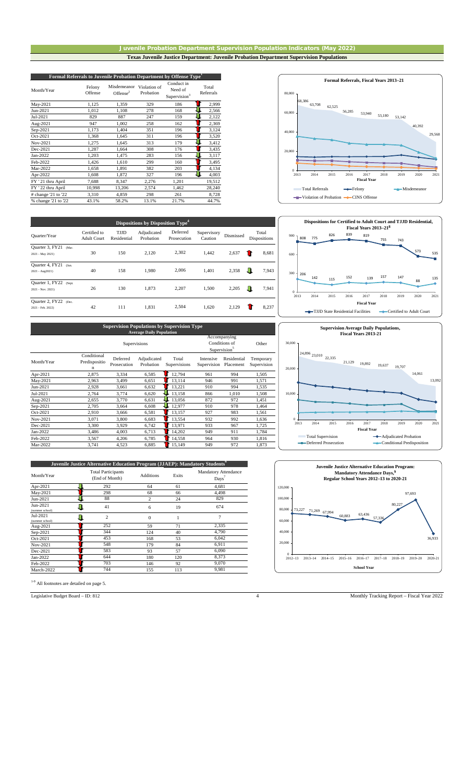#### Juvenile Probation Department Supervision Population Indicators (May 2022) **Texas Juvenile Justice Department: Juvenile Probation Department Supervision Populations**

| Formal Referrals to Juvenile Probation Department by Offense Type <sup>1</sup> |                   |                            |                           |                                                   |                    |  |  |  |
|--------------------------------------------------------------------------------|-------------------|----------------------------|---------------------------|---------------------------------------------------|--------------------|--|--|--|
| Month/Year                                                                     | Felony<br>Offense | Misdemeanor<br>Offense $2$ | Violation of<br>Probation | Conduct in<br>Need of<br>Supervision <sup>3</sup> | Total<br>Referrals |  |  |  |
| May-2021                                                                       | 1,125             | 1,359                      | 329                       | 186                                               | 2,999              |  |  |  |
| Jun-2021                                                                       | 1,012             | 1,108                      | 278                       | 168                                               | 2,566              |  |  |  |
| Jul-2021                                                                       | 829               | 887                        | 247                       | 159                                               | 2,122              |  |  |  |
| Aug-2021                                                                       | 947               | 1,002                      | 258                       | 162                                               | 2,369              |  |  |  |
| Sep-2021                                                                       | 1,173             | 1,404                      | 351                       | 196                                               | 3,124              |  |  |  |
| Oct-2021                                                                       | 1,368             | 1,645                      | 311                       | 196                                               | 3,520              |  |  |  |
| Nov-2021                                                                       | 1,275             | 1,645                      | 313                       | 179                                               | 3,412              |  |  |  |
| Dec-2021                                                                       | 1,287             | 1,664                      | 308                       | 176                                               | 3,435              |  |  |  |
| Jan-2022                                                                       | 1,203             | 1,475                      | 283                       | 156                                               | 3,117              |  |  |  |
| Feb-2022                                                                       | 1,426             | 1,610                      | 299                       | 160                                               | 3,495              |  |  |  |
| Mar-2022                                                                       | 1,658             | 1,891                      | 382                       | 203                                               | 4,134              |  |  |  |
| Apr-2022                                                                       | 1,608             | 1,872                      | 327                       | 196                                               | 4,003              |  |  |  |
| FY ' 21 thru April                                                             | 7,688             | 8,347                      | 2,276                     | 1,201                                             | 19,512             |  |  |  |
| FY ' 22 thru April                                                             | 10,998            | 13,206                     | 2,574                     | 1,462                                             | 28,240             |  |  |  |
| # change 21 to 22                                                              | 3,310             | 4,859                      | 298                       | 261                                               | 8,728              |  |  |  |
| % change '21 to '22                                                            | 43.1%             | 58.2%                      | 13.1%                     | 21.7%                                             | 44.7%              |  |  |  |





Quarter/Year Certified to Adult Court TJJD Residential Adjudicated Probation Supervisory Dismissed Total<br>
Caution Dismissed Disposition Dispositions Quarter  $3, FY21$  (Ma 2021 - May 2021) 30 150 2,120 2,302 1,442 2,637 **8**,681 Quarter 4, FY21 (Jun. 2021 - Aug2021) 40 158 1,980 1,401 2,358 7,943 Quarter 1, FY22 (Sept. 2021 - Nov. 2021) 26 130 1,873 2,207 1,500 2,205 1,941 Quarter 2, FY22 (Dec.<br>2021 - Feb. 2022) 2, 2021 - 2,504 1,620 2,129 **1** 8,237 **Dispositions by Disposition Type<sup>4</sup>** Deferred Prosecution 2,006 2,207 2,302 2,504

| <b>Supervision Populations by Supervision Type</b><br><b>Average Daily Population</b> |                                             |                         |                                                           |                       |                          |                          |                          |  |
|---------------------------------------------------------------------------------------|---------------------------------------------|-------------------------|-----------------------------------------------------------|-----------------------|--------------------------|--------------------------|--------------------------|--|
|                                                                                       |                                             | Supervisions            | Accompanying<br>Conditions of<br>Supervision <sup>5</sup> | Other                 |                          |                          |                          |  |
| Month/Year                                                                            | Conditional<br>Predispositio<br>$\mathbf n$ | Deferred<br>Prosecution | Adjudicated<br>Probation                                  | Total<br>Supervisions | Intensive<br>Supervision | Residential<br>Placement | Temporary<br>Supervision |  |
| Apr-2021                                                                              | 2,875                                       | 3.334                   | 6,585                                                     | 12,794                | 961                      | 994                      | 1,505                    |  |
| May-2021                                                                              | 2.963                                       | 3.499                   | 6.651                                                     | 13.114                | 946                      | 991                      | 1.571                    |  |
| Jun-2021                                                                              | 2,928                                       | 3,661                   | 6,632                                                     | 13,221                | 910                      | 994                      | 1,535                    |  |
| Jul-2021                                                                              | 2,764                                       | 3,774                   | 6,620                                                     | 13,158                | 866                      | 1,010                    | 1,508                    |  |
| Aug-2021                                                                              | 2,655                                       | 3.770                   | 6.631                                                     | 13.056                | 872                      | 972                      | 1,451                    |  |
| Sep-2021                                                                              | 2.705                                       | 3,664                   | 6,608                                                     | 12,977                | 910                      | 978                      | 1,464                    |  |
| Oct-2021                                                                              | 2,910                                       | 3.666                   | 6,581                                                     | 13.157                | 927                      | 983                      | 1,561                    |  |
| Nov-2021                                                                              | 3,071                                       | 3.800                   | 6,683                                                     | 13,554                | 932                      | 992                      | 1,636                    |  |
| Dec-2021                                                                              | 3,300                                       | 3,929                   | 6,742                                                     | 13,971                | 933                      | 967                      | 1,725                    |  |
| Jan-2022                                                                              | 3,486                                       | 4.003                   | 6.713                                                     | 14,202                | 949                      | 911                      | 1.784                    |  |
| Feb-2022                                                                              | 3,567                                       | 4,206                   | 6.785                                                     | 14,558                | 964                      | 930                      | 1,816                    |  |
| Mar-2022                                                                              | 3,741                                       | 4,523                   | 6,885                                                     | 15,149                | 949                      | 972                      | 1,873                    |  |

| Juvenile Justice Alternative Education Program (JJAEP): Mandatory Students <sup>6</sup> |                                             |                  |       |                                      |  |  |  |  |  |
|-----------------------------------------------------------------------------------------|---------------------------------------------|------------------|-------|--------------------------------------|--|--|--|--|--|
| Month/Year                                                                              | <b>Total Participants</b><br>(End of Month) | <b>Additions</b> | Exits | <b>Mandatory Attendance</b><br>Days' |  |  |  |  |  |
| Apr-2021                                                                                | 292                                         | 64               | 61    | 4,681                                |  |  |  |  |  |
| May-2021                                                                                | 298                                         | 68               | 66    | 4,498                                |  |  |  |  |  |
| Jun-2021                                                                                | 88                                          | 2                | 24    | 829                                  |  |  |  |  |  |
| Jun-2021<br>(summer school)                                                             | 41                                          | 6                | 19    | 674                                  |  |  |  |  |  |
| Jul-2021<br>(summer school)                                                             | $\overline{c}$                              | $\Omega$         |       | 7                                    |  |  |  |  |  |
| Aug-2021                                                                                | 252                                         | 59               | 71    | 2,335                                |  |  |  |  |  |
| Sep-2021                                                                                | 344                                         | 124              | 40    | 4,790                                |  |  |  |  |  |
| Oct-2021                                                                                | 453                                         | 168              | 53    | 6,042                                |  |  |  |  |  |
| Nov-2021                                                                                | 548                                         | 179              | 84    | 6,911                                |  |  |  |  |  |
| Dec-2021                                                                                | 583                                         | 93               | 57    | 6,090                                |  |  |  |  |  |
| Jan-2022                                                                                | 644                                         | 180              | 120   | 8,373                                |  |  |  |  |  |
| Feb-2022                                                                                | 703                                         | 146              | 92    | 9,070                                |  |  |  |  |  |
| March-2022                                                                              | 744                                         | 155              | 113   | 9,981                                |  |  |  |  |  |

1-9 All footnotes are detailed on page 5.

# 24,896 23,010 22,335 21,129 19,892 19,637 19,707 14,061 13,09  $2013$ 10,000 20,000 30,00 2013 2014 2015 2016 2017 2018 2019 2020 2021 **Fiscal Year Supervision Average Daily Populations, Fiscal Years 2013-21** Total Supervision<br>
Total Supervision<br>
Adjudicated Probation<br>
Adjudicated Probation<br>
Predisposition<br>
Adjudicated Probation<br>
Predisposition  $\longrightarrow$ Conditional Predisposition



Legislative Budget Board – ID: 812 4 Monthly Tracking Report – Fiscal Year 2022